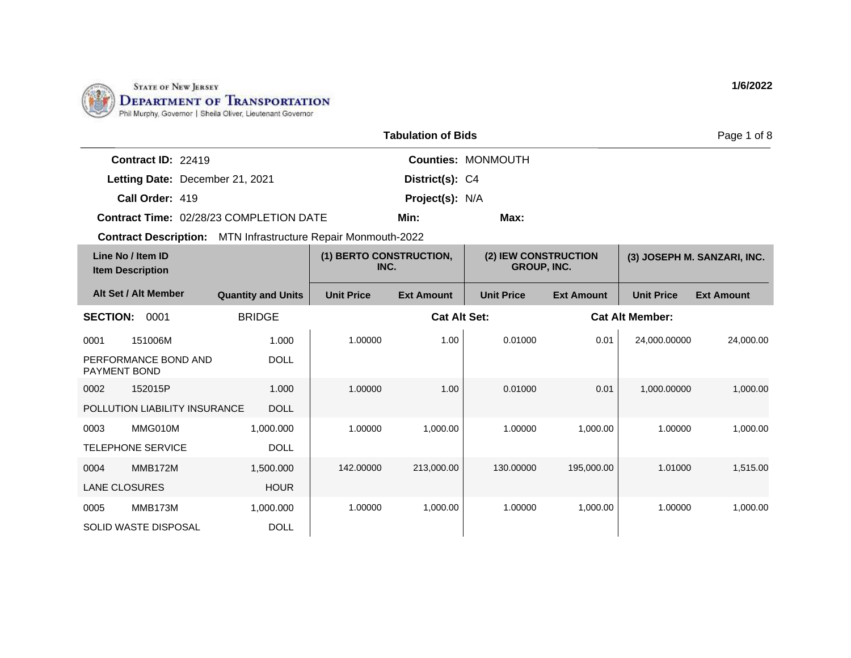

1,500.000 HOUR

1,000.000

DOLL

0004 MMB172M LANE CLOSURES

0005 MMB173M

SOLID WASTE DISPOSAL

|                                                |                           |                                         | <b>Tabulation of Bids</b> |                           |                                            |                        | Page 1 of 8                 |
|------------------------------------------------|---------------------------|-----------------------------------------|---------------------------|---------------------------|--------------------------------------------|------------------------|-----------------------------|
| Contract ID: 22419                             |                           |                                         |                           | <b>Counties: MONMOUTH</b> |                                            |                        |                             |
| Letting Date: December 21, 2021                |                           |                                         | District(s): C4           |                           |                                            |                        |                             |
| Call Order: 419                                |                           |                                         | <b>Project(s): N/A</b>    |                           |                                            |                        |                             |
| <b>Contract Time: 02/28/23 COMPLETION DATE</b> |                           |                                         | Min:                      | Max:                      |                                            |                        |                             |
| <b>Contract Description:</b>                   |                           | MTN Infrastructure Repair Monmouth-2022 |                           |                           |                                            |                        |                             |
| Line No / Item ID<br><b>Item Description</b>   |                           | (1) BERTO CONSTRUCTION,<br>INC.         |                           |                           | (2) IEW CONSTRUCTION<br><b>GROUP, INC.</b> |                        | (3) JOSEPH M. SANZARI, INC. |
| Alt Set / Alt Member                           | <b>Quantity and Units</b> | <b>Unit Price</b>                       | <b>Ext Amount</b>         | <b>Unit Price</b>         | <b>Ext Amount</b>                          | <b>Unit Price</b>      | <b>Ext Amount</b>           |
| <b>SECTION:</b><br>0001                        | <b>BRIDGE</b>             |                                         | <b>Cat Alt Set:</b>       |                           |                                            | <b>Cat Alt Member:</b> |                             |
| 151006M<br>0001                                | 1.000                     | 1.00000                                 | 1.00                      | 0.01000                   | 0.01                                       | 24.000.00000           | 24,000.00                   |
| PERFORMANCE BOND AND<br><b>PAYMENT BOND</b>    | <b>DOLL</b>               |                                         |                           |                           |                                            |                        |                             |
| 0002<br>152015P                                | 1.000                     | 1.00000                                 | 1.00                      | 0.01000                   | 0.01                                       | 1,000.00000            | 1,000.00                    |
| POLLUTION LIABILITY INSURANCE                  | <b>DOLL</b>               |                                         |                           |                           |                                            |                        |                             |
| MMG010M<br>0003                                | 1,000.000                 | 1.00000                                 | 1,000.00                  | 1.00000                   | 1,000.00                                   | 1.00000                | 1,000.00                    |
| <b>TELEPHONE SERVICE</b>                       | <b>DOLL</b>               |                                         |                           |                           |                                            |                        |                             |

142.00000 213,000.00 130.00000 195,000.00 1.01000 1,515.00

1.00000 1,000.00 1.00000 1,000.00 1.00000 1,000.00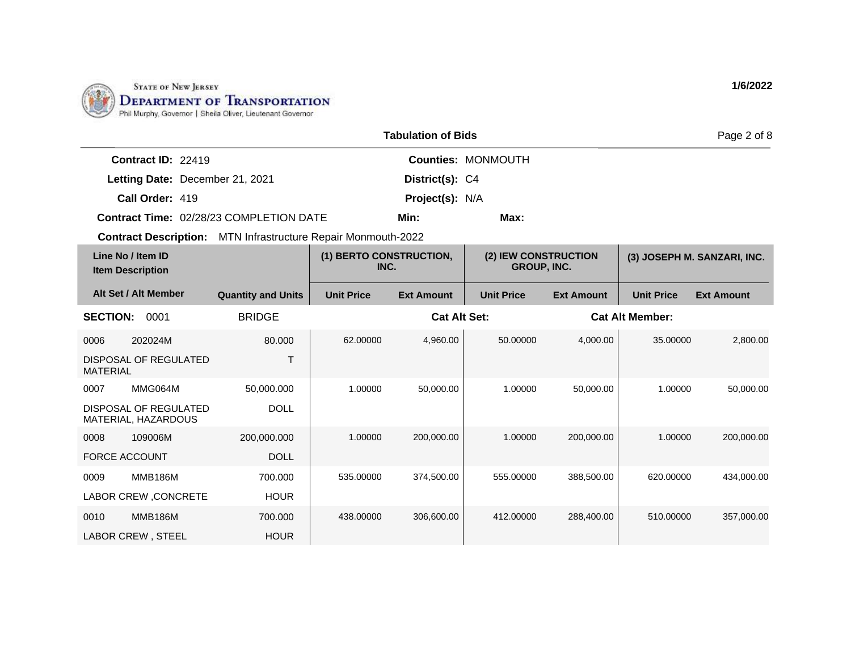

200,000.000

DOLL

700.000 HOUR

700.000 HOUR

0008 109006M FORCE ACCOUNT

0009 MMB186M

0010 MMB186M LABOR CREW , STEEL

LABOR CREW ,CONCRETE

|                                                                      |                           |                                 | <b>Tabulation of Bids</b> |                                            |                   |                        | Page 2 of 8                 |
|----------------------------------------------------------------------|---------------------------|---------------------------------|---------------------------|--------------------------------------------|-------------------|------------------------|-----------------------------|
| <b>Contract ID: 22419</b>                                            |                           |                                 |                           | <b>Counties: MONMOUTH</b>                  |                   |                        |                             |
| Letting Date: December 21, 2021                                      |                           |                                 | District(s): C4           |                                            |                   |                        |                             |
| Call Order: 419                                                      |                           |                                 | Project(s): N/A           |                                            |                   |                        |                             |
| <b>Contract Time: 02/28/23 COMPLETION DATE</b>                       |                           |                                 | Min:                      | Max:                                       |                   |                        |                             |
| <b>Contract Description:</b> MTN Infrastructure Repair Monmouth-2022 |                           |                                 |                           |                                            |                   |                        |                             |
| Line No / Item ID<br><b>Item Description</b>                         |                           | (1) BERTO CONSTRUCTION,<br>INC. |                           | (2) IEW CONSTRUCTION<br><b>GROUP, INC.</b> |                   |                        | (3) JOSEPH M. SANZARI, INC. |
| Alt Set / Alt Member                                                 | <b>Quantity and Units</b> | <b>Unit Price</b>               | <b>Ext Amount</b>         | <b>Unit Price</b>                          | <b>Ext Amount</b> | <b>Unit Price</b>      | <b>Ext Amount</b>           |
| 0001<br><b>SECTION:</b>                                              | <b>BRIDGE</b>             |                                 | <b>Cat Alt Set:</b>       |                                            |                   | <b>Cat Alt Member:</b> |                             |
| 0006<br>202024M                                                      | 80.000                    | 62.00000                        | 4,960.00                  | 50.00000                                   | 4,000.00          | 35.00000               | 2,800.00                    |
| DISPOSAL OF REGULATED<br><b>MATERIAL</b>                             | т                         |                                 |                           |                                            |                   |                        |                             |
| MMG064M<br>0007                                                      | 50,000.000                | 1.00000                         | 50,000.00                 | 1.00000                                    | 50,000.00         | 1.00000                | 50,000.00                   |
| DISPOSAL OF REGULATED<br>MATERIAL, HAZARDOUS                         | <b>DOLL</b>               |                                 |                           |                                            |                   |                        |                             |

1.00000 200,000.00 1.00000 200,000.00 1.00000 200,000.00

535.00000 374,500.00 555.00000 388,500.00 620.00000 434,000.00

438.00000 306,600.00 412.00000 288,400.00 510.00000 357,000.00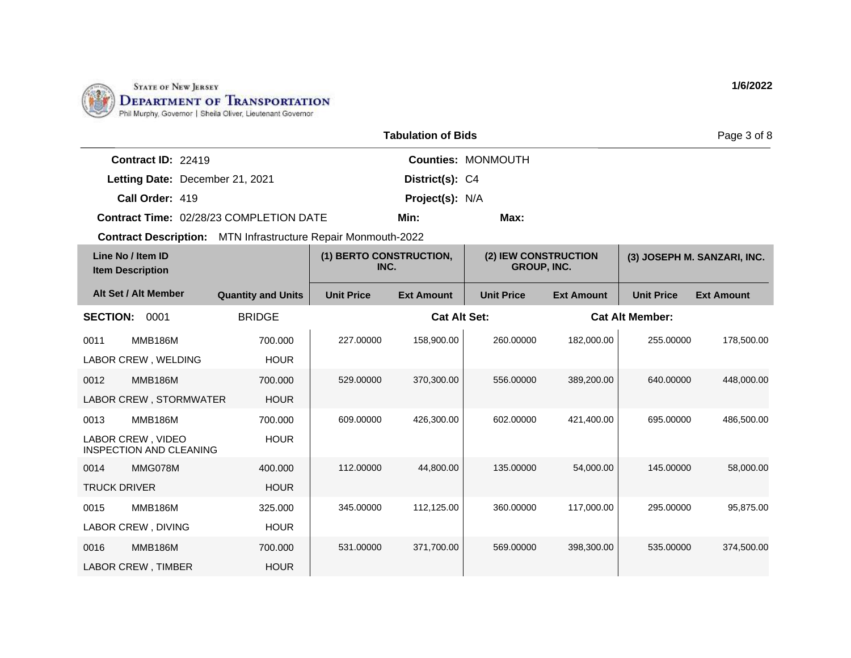

|                     |                                                     |                                                                      |                                 | <b>Tabulation of Bids</b> |                                            |                   |                        | Page 3 of 8                 |
|---------------------|-----------------------------------------------------|----------------------------------------------------------------------|---------------------------------|---------------------------|--------------------------------------------|-------------------|------------------------|-----------------------------|
|                     | Contract ID: 22419                                  |                                                                      |                                 |                           | <b>Counties: MONMOUTH</b>                  |                   |                        |                             |
|                     | Letting Date: December 21, 2021                     |                                                                      |                                 | District(s): C4           |                                            |                   |                        |                             |
|                     | Call Order: 419                                     |                                                                      |                                 | Project(s): N/A           |                                            |                   |                        |                             |
|                     |                                                     | Contract Time: 02/28/23 COMPLETION DATE                              |                                 | Min:                      | Max:                                       |                   |                        |                             |
|                     |                                                     | <b>Contract Description:</b> MTN Infrastructure Repair Monmouth-2022 |                                 |                           |                                            |                   |                        |                             |
|                     | Line No / Item ID<br><b>Item Description</b>        |                                                                      | (1) BERTO CONSTRUCTION,<br>INC. |                           | (2) IEW CONSTRUCTION<br><b>GROUP, INC.</b> |                   |                        | (3) JOSEPH M. SANZARI, INC. |
|                     | Alt Set / Alt Member                                | <b>Quantity and Units</b>                                            | <b>Unit Price</b>               | <b>Ext Amount</b>         | <b>Unit Price</b>                          | <b>Ext Amount</b> | <b>Unit Price</b>      | <b>Ext Amount</b>           |
| <b>SECTION:</b>     | 0001                                                | <b>BRIDGE</b>                                                        |                                 | <b>Cat Alt Set:</b>       |                                            |                   | <b>Cat Alt Member:</b> |                             |
| 0011                | <b>MMB186M</b>                                      | 700.000                                                              | 227.00000                       | 158,900.00                | 260.00000                                  | 182,000.00        | 255.00000              | 178,500.00                  |
|                     | LABOR CREW, WELDING                                 | <b>HOUR</b>                                                          |                                 |                           |                                            |                   |                        |                             |
| 0012                | <b>MMB186M</b>                                      | 700.000                                                              | 529.00000                       | 370,300.00                | 556.00000                                  | 389,200.00        | 640.00000              | 448,000.00                  |
|                     | LABOR CREW, STORMWATER                              | <b>HOUR</b>                                                          |                                 |                           |                                            |                   |                        |                             |
| 0013                | <b>MMB186M</b>                                      | 700.000                                                              | 609.00000                       | 426,300.00                | 602.00000                                  | 421,400.00        | 695.00000              | 486,500.00                  |
|                     | LABOR CREW, VIDEO<br><b>INSPECTION AND CLEANING</b> | <b>HOUR</b>                                                          |                                 |                           |                                            |                   |                        |                             |
| 0014                | MMG078M                                             | 400.000                                                              | 112.00000                       | 44,800.00                 | 135.00000                                  | 54,000.00         | 145.00000              | 58,000.00                   |
| <b>TRUCK DRIVER</b> |                                                     | <b>HOUR</b>                                                          |                                 |                           |                                            |                   |                        |                             |
| 0015                | <b>MMB186M</b>                                      | 325.000                                                              | 345.00000                       | 112,125.00                | 360.00000                                  | 117,000.00        | 295.00000              | 95,875.00                   |
|                     | LABOR CREW, DIVING                                  | <b>HOUR</b>                                                          |                                 |                           |                                            |                   |                        |                             |
| 0016                | <b>MMB186M</b>                                      | 700.000                                                              | 531.00000                       | 371,700.00                | 569.00000                                  | 398,300.00        | 535.00000              | 374,500.00                  |
|                     | LABOR CREW, TIMBER                                  | <b>HOUR</b>                                                          |                                 |                           |                                            |                   |                        |                             |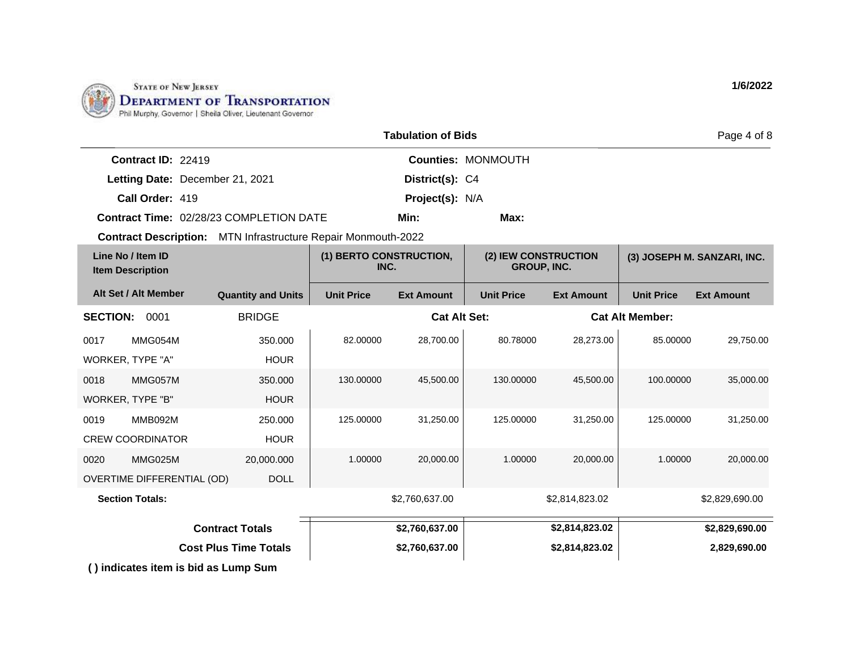

|                                              |                                 |                                                |                                 | <b>Tabulation of Bids</b> |                                            |                   |                        | Page 4 of 8                 |
|----------------------------------------------|---------------------------------|------------------------------------------------|---------------------------------|---------------------------|--------------------------------------------|-------------------|------------------------|-----------------------------|
|                                              | Contract ID: 22419              |                                                |                                 |                           | <b>Counties: MONMOUTH</b>                  |                   |                        |                             |
|                                              | Letting Date: December 21, 2021 |                                                |                                 | District(s): C4           |                                            |                   |                        |                             |
|                                              | Call Order: 419                 |                                                |                                 | Project(s): N/A           |                                            |                   |                        |                             |
|                                              |                                 | <b>Contract Time: 02/28/23 COMPLETION DATE</b> |                                 | Min:                      | Max:                                       |                   |                        |                             |
|                                              | <b>Contract Description:</b>    | MTN Infrastructure Repair Monmouth-2022        |                                 |                           |                                            |                   |                        |                             |
| Line No / Item ID<br><b>Item Description</b> |                                 |                                                | (1) BERTO CONSTRUCTION,<br>INC. |                           | (2) IEW CONSTRUCTION<br><b>GROUP, INC.</b> |                   |                        | (3) JOSEPH M. SANZARI, INC. |
|                                              | Alt Set / Alt Member            | <b>Quantity and Units</b>                      | <b>Unit Price</b>               | <b>Ext Amount</b>         | <b>Unit Price</b>                          | <b>Ext Amount</b> | <b>Unit Price</b>      | <b>Ext Amount</b>           |
| <b>SECTION:</b>                              | 0001                            | <b>BRIDGE</b>                                  |                                 | <b>Cat Alt Set:</b>       |                                            |                   | <b>Cat Alt Member:</b> |                             |
| 0017                                         | MMG054M                         | 350,000                                        | 82.00000                        | 28,700.00                 | 80.78000                                   | 28,273.00         | 85.00000               | 29,750.00                   |
| WORKER, TYPE "A"                             |                                 | <b>HOUR</b>                                    |                                 |                           |                                            |                   |                        |                             |
| 0018                                         | MMG057M                         | 350,000                                        | 130.00000                       | 45,500.00                 | 130.00000                                  | 45,500.00         | 100.00000              | 35,000.00                   |
| WORKER, TYPE "B"                             |                                 | <b>HOUR</b>                                    |                                 |                           |                                            |                   |                        |                             |
|                                              |                                 |                                                |                                 |                           |                                            |                   |                        |                             |

| <b>Contract Totals</b>       | \$2,760,637.00 | \$2,814,823.02 | \$2,829,690.00 |
|------------------------------|----------------|----------------|----------------|
| <b>Cost Plus Time Totals</b> | \$2,760,637.00 | \$2,814,823.02 | 2,829,690.00   |

**Section Totals:**  $$2,760,637.00$   $$2,814,823.02$   $$2,829,690.00$ 

125.00000 31,250.00 125.00000 31,250.00 125.00000 31,250.00

1.00000 20,000.00 1.00000 20,000.00 1.00000 20,000.00

**( ) indicates item is bid as Lump Sum**

250.000 HOUR

20,000.000

DOLL

0019 MMB092M CREW COORDINATOR

0020 MMG025M

OVERTIME DIFFERENTIAL (OD)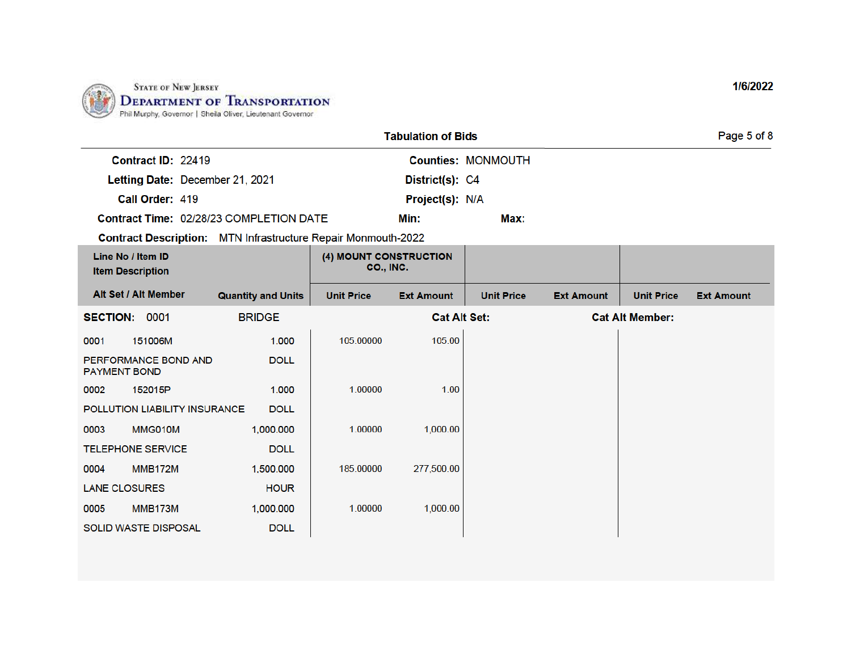

|                                                                      |                           |                                            | <b>Tabulation of Bids</b> |                           |                   |                        | Page 5 of 8       |
|----------------------------------------------------------------------|---------------------------|--------------------------------------------|---------------------------|---------------------------|-------------------|------------------------|-------------------|
| Contract ID: 22419                                                   |                           |                                            |                           | <b>Counties: MONMOUTH</b> |                   |                        |                   |
| Letting Date: December 21, 2021                                      |                           |                                            | District(s): C4           |                           |                   |                        |                   |
| Call Order: 419                                                      |                           |                                            | Project(s): N/A           |                           |                   |                        |                   |
| Contract Time: 02/28/23 COMPLETION DATE                              |                           |                                            | Min:                      | Max:                      |                   |                        |                   |
| <b>Contract Description:</b> MTN Infrastructure Repair Monmouth-2022 |                           |                                            |                           |                           |                   |                        |                   |
| Line No / Item ID<br><b>Item Description</b>                         |                           | (4) MOUNT CONSTRUCTION<br><b>CO., INC.</b> |                           |                           |                   |                        |                   |
| Alt Set / Alt Member                                                 | <b>Quantity and Units</b> | <b>Unit Price</b>                          | <b>Ext Amount</b>         | <b>Unit Price</b>         | <b>Ext Amount</b> | <b>Unit Price</b>      | <b>Ext Amount</b> |
| <b>SECTION:</b><br>0001                                              | <b>BRIDGE</b>             |                                            | <b>Cat Alt Set:</b>       |                           |                   | <b>Cat Alt Member:</b> |                   |
| 151006M<br>0001                                                      | 1.000                     | 105.00000                                  | 105.00                    |                           |                   |                        |                   |
| PERFORMANCE BOND AND<br><b>PAYMENT BOND</b>                          | <b>DOLL</b>               |                                            |                           |                           |                   |                        |                   |
| 152015P<br>0002                                                      | 1.000                     | 1.00000                                    | 1.00                      |                           |                   |                        |                   |
| POLLUTION LIABILITY INSURANCE                                        | <b>DOLL</b>               |                                            |                           |                           |                   |                        |                   |
| MMG010M<br>0003                                                      | 1,000.000                 | 1.00000                                    | 1,000.00                  |                           |                   |                        |                   |
| <b>TELEPHONE SERVICE</b>                                             | <b>DOLL</b>               |                                            |                           |                           |                   |                        |                   |
| <b>MMB172M</b><br>0004                                               | 1,500.000                 | 185.00000                                  | 277,500.00                |                           |                   |                        |                   |
| <b>LANE CLOSURES</b>                                                 | <b>HOUR</b>               |                                            |                           |                           |                   |                        |                   |
| <b>MMB173M</b><br>0005                                               | 1,000.000                 | 1.00000                                    | 1,000.00                  |                           |                   |                        |                   |
| <b>SOLID WASTE DISPOSAL</b>                                          | <b>DOLL</b>               |                                            |                           |                           |                   |                        |                   |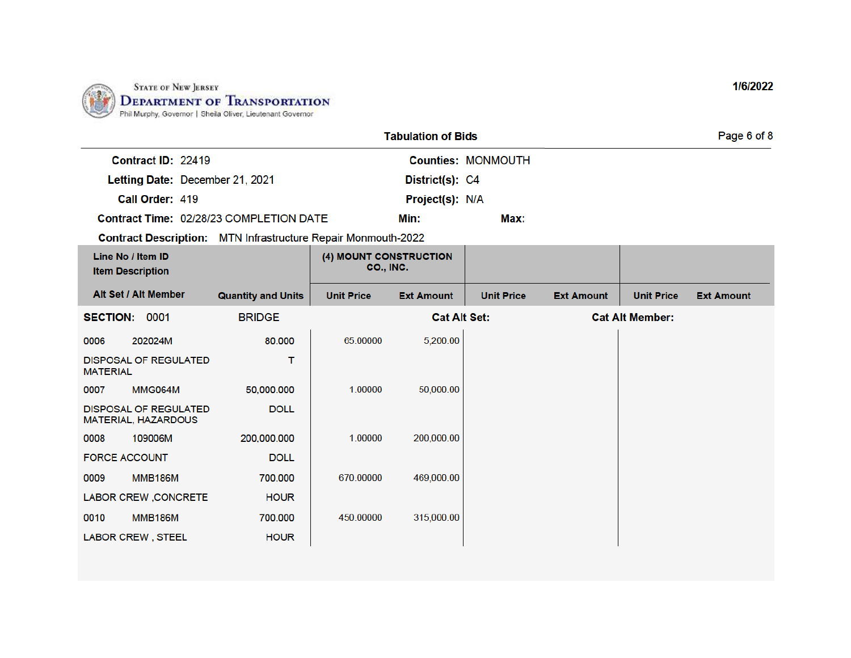

|                                                            |                    |                                                                      |                                            | <b>Tabulation of Bids</b> |                           |                   |                        | Page 6 of 8       |
|------------------------------------------------------------|--------------------|----------------------------------------------------------------------|--------------------------------------------|---------------------------|---------------------------|-------------------|------------------------|-------------------|
|                                                            | Contract ID: 22419 |                                                                      |                                            |                           | <b>Counties: MONMOUTH</b> |                   |                        |                   |
|                                                            |                    | Letting Date: December 21, 2021                                      |                                            | District(s): C4           |                           |                   |                        |                   |
| Call Order: 419                                            |                    |                                                                      |                                            | Project(s): N/A           |                           |                   |                        |                   |
|                                                            |                    | Contract Time: 02/28/23 COMPLETION DATE                              |                                            | Min:                      | Max:                      |                   |                        |                   |
|                                                            |                    | <b>Contract Description:</b> MTN Infrastructure Repair Monmouth-2022 |                                            |                           |                           |                   |                        |                   |
| Line No / Item ID<br><b>Item Description</b>               |                    |                                                                      | (4) MOUNT CONSTRUCTION<br><b>CO., INC.</b> |                           |                           |                   |                        |                   |
| Alt Set / Alt Member                                       |                    | <b>Quantity and Units</b>                                            | <b>Unit Price</b>                          | <b>Ext Amount</b>         | <b>Unit Price</b>         | <b>Ext Amount</b> | <b>Unit Price</b>      | <b>Ext Amount</b> |
| SECTION: 0001                                              |                    | <b>BRIDGE</b>                                                        |                                            | <b>Cat Alt Set:</b>       |                           |                   | <b>Cat Alt Member:</b> |                   |
| 202024M<br>0006                                            |                    | 80,000                                                               | 65.00000                                   | 5,200.00                  |                           |                   |                        |                   |
| <b>DISPOSAL OF REGULATED</b><br><b>MATERIAL</b>            |                    | т                                                                    |                                            |                           |                           |                   |                        |                   |
| <b>MMG064M</b><br>0007                                     |                    | 50,000.000                                                           | 1.00000                                    | 50,000.00                 |                           |                   |                        |                   |
| <b>DISPOSAL OF REGULATED</b><br><b>MATERIAL, HAZARDOUS</b> |                    | <b>DOLL</b>                                                          |                                            |                           |                           |                   |                        |                   |
| 109006M<br>0008                                            |                    | 200,000.000                                                          | 1.00000                                    | 200,000.00                |                           |                   |                        |                   |
| <b>FORCE ACCOUNT</b>                                       |                    | <b>DOLL</b>                                                          |                                            |                           |                           |                   |                        |                   |
| <b>MMB186M</b><br>0009                                     |                    | 700,000                                                              | 670.00000                                  | 469,000.00                |                           |                   |                        |                   |
| LABOR CREW, CONCRETE                                       |                    | <b>HOUR</b>                                                          |                                            |                           |                           |                   |                        |                   |
| <b>MMB186M</b><br>0010                                     |                    | 700.000                                                              | 450.00000                                  | 315,000.00                |                           |                   |                        |                   |
| <b>LABOR CREW, STEEL</b>                                   |                    | <b>HOUR</b>                                                          |                                            |                           |                           |                   |                        |                   |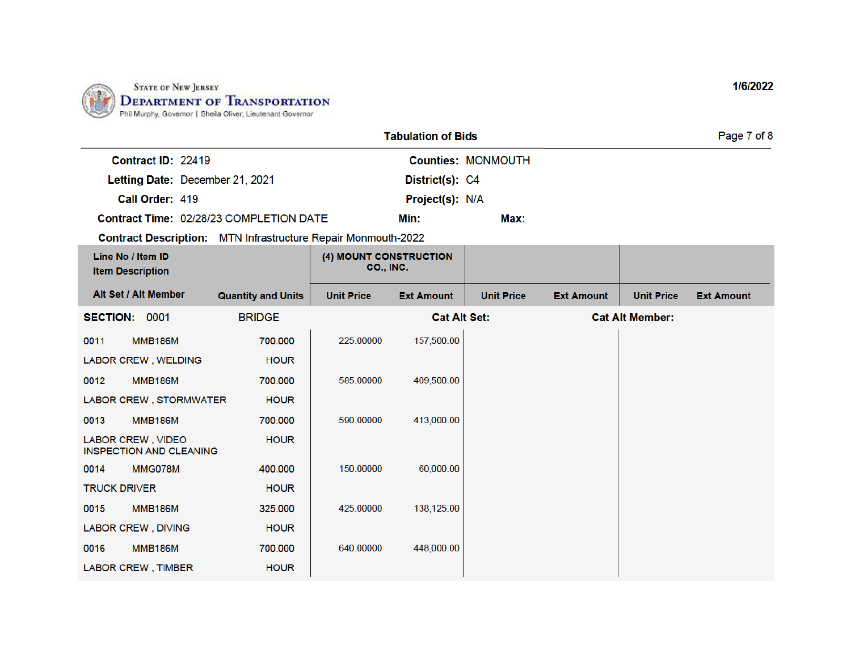

|                                                                      |                           |                                     | <b>Tabulation of Bids</b> |                           |                   |                        | Page 7 of 8       |
|----------------------------------------------------------------------|---------------------------|-------------------------------------|---------------------------|---------------------------|-------------------|------------------------|-------------------|
| Contract ID: 22419                                                   |                           |                                     |                           | <b>Counties: MONMOUTH</b> |                   |                        |                   |
| Letting Date: December 21, 2021                                      |                           |                                     | District(s): C4           |                           |                   |                        |                   |
| Call Order: 419                                                      |                           |                                     | Project(s): N/A           |                           |                   |                        |                   |
| Contract Time: 02/28/23 COMPLETION DATE                              |                           |                                     | Min:                      | Max:                      |                   |                        |                   |
| <b>Contract Description:</b> MTN Infrastructure Repair Monmouth-2022 |                           |                                     |                           |                           |                   |                        |                   |
| Line No / Item ID<br><b>Item Description</b>                         |                           | (4) MOUNT CONSTRUCTION<br>CO., INC. |                           |                           |                   |                        |                   |
| Alt Set / Alt Member                                                 | <b>Quantity and Units</b> | <b>Unit Price</b>                   | <b>Ext Amount</b>         | <b>Unit Price</b>         | <b>Ext Amount</b> | <b>Unit Price</b>      | <b>Ext Amount</b> |
| SECTION: 0001                                                        | <b>BRIDGE</b>             |                                     |                           | <b>Cat Alt Set:</b>       |                   | <b>Cat Alt Member:</b> |                   |
| <b>MMB186M</b><br>0011                                               | 700,000                   | 225.00000                           | 157,500.00                |                           |                   |                        |                   |
| <b>LABOR CREW, WELDING</b>                                           | <b>HOUR</b>               |                                     |                           |                           |                   |                        |                   |
| <b>MMB186M</b><br>0012                                               | 700,000                   | 585.00000                           | 409,500.00                |                           |                   |                        |                   |
| LABOR CREW, STORMWATER                                               | <b>HOUR</b>               |                                     |                           |                           |                   |                        |                   |
| 0013<br><b>MMB186M</b>                                               | 700.000                   | 590.00000                           | 413,000.00                |                           |                   |                        |                   |
| <b>LABOR CREW, VIDEO</b><br><b>INSPECTION AND CLEANING</b>           | <b>HOUR</b>               |                                     |                           |                           |                   |                        |                   |
| MMG078M<br>0014                                                      | 400.000                   | 150.00000                           | 60,000.00                 |                           |                   |                        |                   |
| <b>TRUCK DRIVER</b>                                                  | <b>HOUR</b>               |                                     |                           |                           |                   |                        |                   |
| <b>MMB186M</b><br>0015                                               | 325.000                   | 425.00000                           | 138,125.00                |                           |                   |                        |                   |
| <b>LABOR CREW, DIVING</b>                                            | <b>HOUR</b>               |                                     |                           |                           |                   |                        |                   |
| <b>MMB186M</b><br>0016                                               | 700,000                   | 640.00000                           | 448,000.00                |                           |                   |                        |                   |
| <b>LABOR CREW, TIMBER</b>                                            | <b>HOUR</b>               |                                     |                           |                           |                   |                        |                   |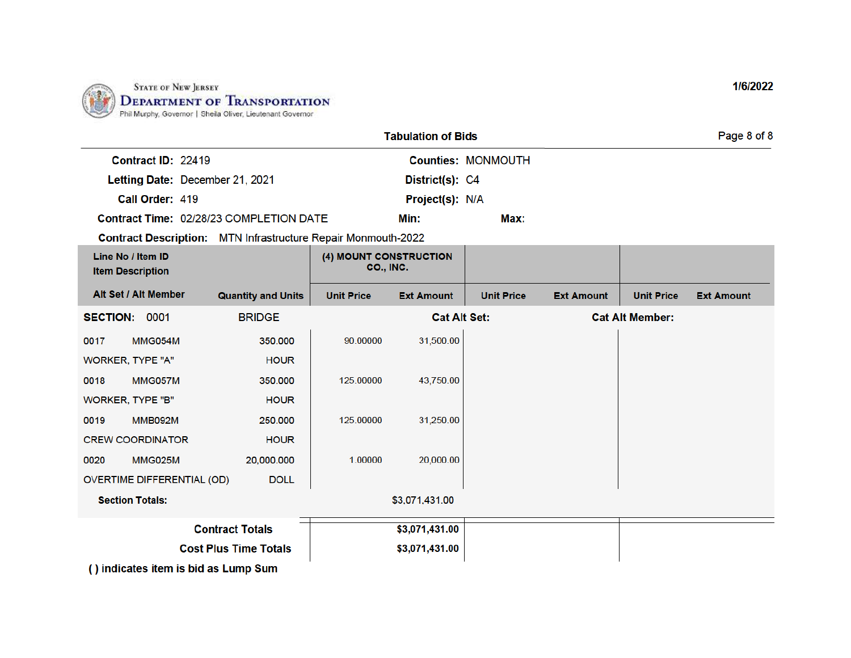

|                                              |                                                                      |                                            | <b>Tabulation of Bids</b> |                           |                   |                        | Page 8 of 8       |
|----------------------------------------------|----------------------------------------------------------------------|--------------------------------------------|---------------------------|---------------------------|-------------------|------------------------|-------------------|
| Contract ID: 22419                           |                                                                      |                                            |                           | <b>Counties: MONMOUTH</b> |                   |                        |                   |
| Letting Date: December 21, 2021              |                                                                      |                                            | District(s): C4           |                           |                   |                        |                   |
| Call Order: 419                              |                                                                      |                                            | Project(s): N/A           |                           |                   |                        |                   |
|                                              | Contract Time: 02/28/23 COMPLETION DATE                              |                                            | Min:                      | Max:                      |                   |                        |                   |
|                                              | <b>Contract Description:</b> MTN Infrastructure Repair Monmouth-2022 |                                            |                           |                           |                   |                        |                   |
| Line No / Item ID<br><b>Item Description</b> |                                                                      | (4) MOUNT CONSTRUCTION<br><b>CO., INC.</b> |                           |                           |                   |                        |                   |
| Alt Set / Alt Member                         | <b>Quantity and Units</b>                                            | <b>Unit Price</b>                          | <b>Ext Amount</b>         | <b>Unit Price</b>         | <b>Ext Amount</b> | <b>Unit Price</b>      | <b>Ext Amount</b> |
| SECTION: 0001                                | <b>BRIDGE</b>                                                        |                                            | <b>Cat Alt Set:</b>       |                           |                   | <b>Cat Alt Member:</b> |                   |
| MMG054M<br>0017                              | 350.000                                                              | 90.00000                                   | 31,500.00                 |                           |                   |                        |                   |
| WORKER, TYPE "A"                             | <b>HOUR</b>                                                          |                                            |                           |                           |                   |                        |                   |
| 0018<br>MMG057M                              | 350,000                                                              | 125.00000                                  | 43,750.00                 |                           |                   |                        |                   |
| <b>WORKER, TYPE "B"</b>                      | <b>HOUR</b>                                                          |                                            |                           |                           |                   |                        |                   |
| <b>MMB092M</b><br>0019                       | 250,000                                                              | 125.00000                                  | 31,250.00                 |                           |                   |                        |                   |
| <b>CREW COORDINATOR</b>                      | <b>HOUR</b>                                                          |                                            |                           |                           |                   |                        |                   |
| MMG025M<br>0020                              | 20,000.000                                                           | 1.00000                                    | 20,000.00                 |                           |                   |                        |                   |
| OVERTIME DIFFERENTIAL (OD)                   | <b>DOLL</b>                                                          |                                            |                           |                           |                   |                        |                   |
| <b>Section Totals:</b>                       |                                                                      |                                            | \$3,071,431.00            |                           |                   |                        |                   |
|                                              | <b>Contract Totals</b>                                               |                                            | \$3,071,431.00            |                           |                   |                        |                   |
|                                              | <b>Cost Plus Time Totals</b>                                         |                                            | \$3,071,431.00            |                           |                   |                        |                   |
| () indicates item is bid as Lump Sum         |                                                                      |                                            |                           |                           |                   |                        |                   |